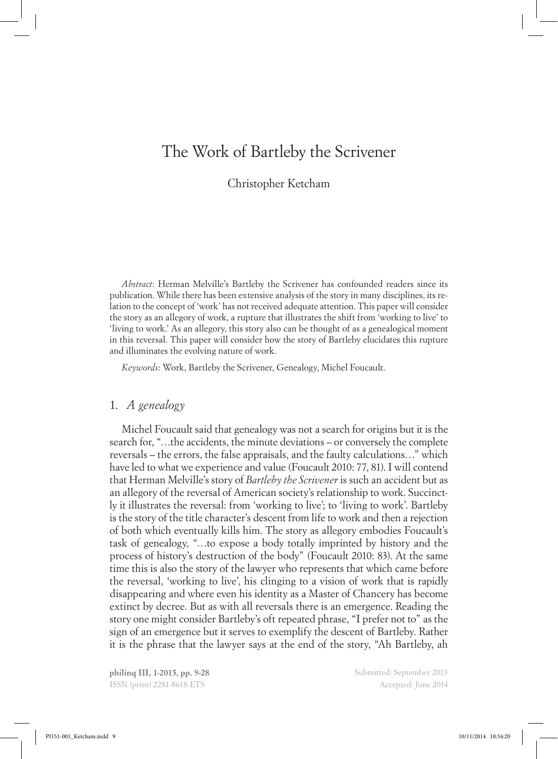# The Work of Bartleby the Scrivener

Christopher Ketcham

*Abstract*: Herman Melville's Bartleby the Scrivener has confounded readers since its publication. While there has been extensive analysis of the story in many disciplines, its relation to the concept of 'work' has not received adequate attention. This paper will consider the story as an allegory of work, a rupture that illustrates the shift from 'working to live' to 'living to work.' As an allegory, this story also can be thought of as a genealogical moment in this reversal. This paper will consider how the story of Bartleby elucidates this rupture and illuminates the evolving nature of work.

*Keywords*: Work, Bartleby the Scrivener, Genealogy, Michel Foucault.

# 1. *A genealogy*

Michel Foucault said that genealogy was not a search for origins but it is the search for, "…the accidents, the minute deviations – or conversely the complete reversals – the errors, the false appraisals, and the faulty calculations…" which have led to what we experience and value (Foucault 2010: 77, 81). I will contend that Herman Melville's story of *Bartleby the Scrivener* is such an accident but as an allegory of the reversal of American society's relationship to work. Succinctly it illustrates the reversal: from 'working to live'; to 'living to work'. Bartleby is the story of the title character's descent from life to work and then a rejection of both which eventually kills him. The story as allegory embodies Foucault's task of genealogy, "…to expose a body totally imprinted by history and the process of history's destruction of the body" (Foucault 2010: 83). At the same time this is also the story of the lawyer who represents that which came before the reversal, 'working to live', his clinging to a vision of work that is rapidly disappearing and where even his identity as a Master of Chancery has become extinct by decree. But as with all reversals there is an emergence. Reading the story one might consider Bartleby's oft repeated phrase, "I prefer not to" as the sign of an emergence but it serves to exemplify the descent of Bartleby. Rather it is the phrase that the lawyer says at the end of the story, "Ah Bartleby, ah

**philinq III, 1-2015, pp. 9-28** ISSN (print) 2281-8618-ETS

Submitted: September 2013 Accepted: June 2014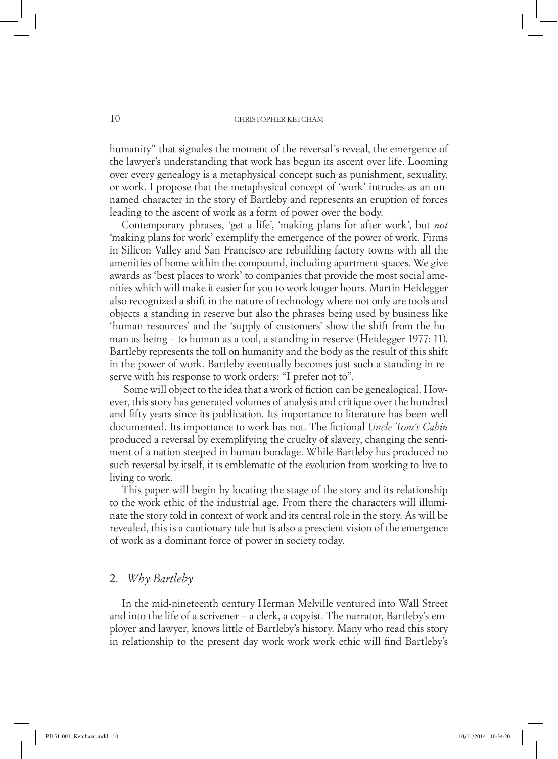humanity" that signales the moment of the reversal's reveal, the emergence of the lawyer's understanding that work has begun its ascent over life. Looming over every genealogy is a metaphysical concept such as punishment, sexuality, or work. I propose that the metaphysical concept of 'work' intrudes as an unnamed character in the story of Bartleby and represents an eruption of forces leading to the ascent of work as a form of power over the body.

Contemporary phrases, 'get a life', 'making plans for after work', but *not* 'making plans for work' exemplify the emergence of the power of work. Firms in Silicon Valley and San Francisco are rebuilding factory towns with all the amenities of home within the compound, including apartment spaces. We give awards as 'best places to work' to companies that provide the most social amenities which will make it easier for you to work longer hours. Martin Heidegger also recognized a shift in the nature of technology where not only are tools and objects a standing in reserve but also the phrases being used by business like 'human resources' and the 'supply of customers' show the shift from the human as being – to human as a tool, a standing in reserve (Heidegger 1977: 11). Bartleby represents the toll on humanity and the body as the result of this shift in the power of work. Bartleby eventually becomes just such a standing in reserve with his response to work orders: "I prefer not to".

 Some will object to the idea that a work of fiction can be genealogical. However, this story has generated volumes of analysis and critique over the hundred and fifty years since its publication. Its importance to literature has been well documented. Its importance to work has not. The fictional *Uncle Tom's Cabin* produced a reversal by exemplifying the cruelty of slavery, changing the sentiment of a nation steeped in human bondage. While Bartleby has produced no such reversal by itself, it is emblematic of the evolution from working to live to living to work.

This paper will begin by locating the stage of the story and its relationship to the work ethic of the industrial age. From there the characters will illuminate the story told in context of work and its central role in the story. As will be revealed, this is a cautionary tale but is also a prescient vision of the emergence of work as a dominant force of power in society today.

## 2. *Why Bartleby*

In the mid-nineteenth century Herman Melville ventured into Wall Street and into the life of a scrivener – a clerk, a copyist. The narrator, Bartleby's employer and lawyer, knows little of Bartleby's history. Many who read this story in relationship to the present day work work work ethic will find Bartleby's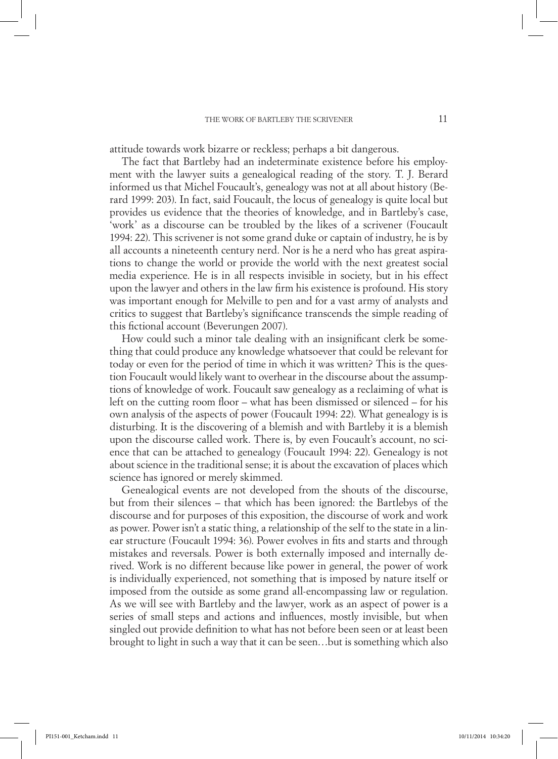attitude towards work bizarre or reckless; perhaps a bit dangerous.

The fact that Bartleby had an indeterminate existence before his employment with the lawyer suits a genealogical reading of the story. T. J. Berard informed us that Michel Foucault's, genealogy was not at all about history (Berard 1999: 203). In fact, said Foucault, the locus of genealogy is quite local but provides us evidence that the theories of knowledge, and in Bartleby's case, 'work' as a discourse can be troubled by the likes of a scrivener (Foucault 1994: 22). This scrivener is not some grand duke or captain of industry, he is by all accounts a nineteenth century nerd. Nor is he a nerd who has great aspirations to change the world or provide the world with the next greatest social media experience. He is in all respects invisible in society, but in his effect upon the lawyer and others in the law firm his existence is profound. His story was important enough for Melville to pen and for a vast army of analysts and critics to suggest that Bartleby's significance transcends the simple reading of this fictional account (Beverungen 2007).

How could such a minor tale dealing with an insignificant clerk be something that could produce any knowledge whatsoever that could be relevant for today or even for the period of time in which it was written? This is the question Foucault would likely want to overhear in the discourse about the assumptions of knowledge of work. Foucault saw genealogy as a reclaiming of what is left on the cutting room floor – what has been dismissed or silenced – for his own analysis of the aspects of power (Foucault 1994: 22). What genealogy is is disturbing. It is the discovering of a blemish and with Bartleby it is a blemish upon the discourse called work. There is, by even Foucault's account, no science that can be attached to genealogy (Foucault 1994: 22). Genealogy is not about science in the traditional sense; it is about the excavation of places which science has ignored or merely skimmed.

Genealogical events are not developed from the shouts of the discourse, but from their silences – that which has been ignored: the Bartlebys of the discourse and for purposes of this exposition, the discourse of work and work as power. Power isn't a static thing, a relationship of the self to the state in a linear structure (Foucault 1994: 36). Power evolves in fits and starts and through mistakes and reversals. Power is both externally imposed and internally derived. Work is no different because like power in general, the power of work is individually experienced, not something that is imposed by nature itself or imposed from the outside as some grand all-encompassing law or regulation. As we will see with Bartleby and the lawyer, work as an aspect of power is a series of small steps and actions and influences, mostly invisible, but when singled out provide definition to what has not before been seen or at least been brought to light in such a way that it can be seen…but is something which also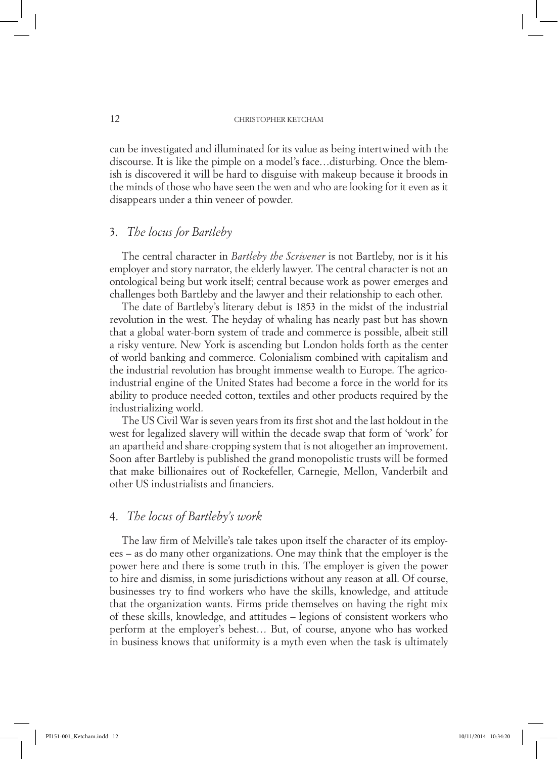can be investigated and illuminated for its value as being intertwined with the discourse. It is like the pimple on a model's face…disturbing. Once the blemish is discovered it will be hard to disguise with makeup because it broods in the minds of those who have seen the wen and who are looking for it even as it disappears under a thin veneer of powder.

# 3. *The locus for Bartleby*

The central character in *Bartleby the Scrivener* is not Bartleby, nor is it his employer and story narrator, the elderly lawyer. The central character is not an ontological being but work itself; central because work as power emerges and challenges both Bartleby and the lawyer and their relationship to each other.

The date of Bartleby's literary debut is 1853 in the midst of the industrial revolution in the west. The heyday of whaling has nearly past but has shown that a global water-born system of trade and commerce is possible, albeit still a risky venture. New York is ascending but London holds forth as the center of world banking and commerce. Colonialism combined with capitalism and the industrial revolution has brought immense wealth to Europe. The agricoindustrial engine of the United States had become a force in the world for its ability to produce needed cotton, textiles and other products required by the industrializing world.

The US Civil War is seven years from its first shot and the last holdout in the west for legalized slavery will within the decade swap that form of 'work' for an apartheid and share-cropping system that is not altogether an improvement. Soon after Bartleby is published the grand monopolistic trusts will be formed that make billionaires out of Rockefeller, Carnegie, Mellon, Vanderbilt and other US industrialists and financiers.

# 4. *The locus of Bartleby's work*

The law firm of Melville's tale takes upon itself the character of its employees – as do many other organizations. One may think that the employer is the power here and there is some truth in this. The employer is given the power to hire and dismiss, in some jurisdictions without any reason at all. Of course, businesses try to find workers who have the skills, knowledge, and attitude that the organization wants. Firms pride themselves on having the right mix of these skills, knowledge, and attitudes – legions of consistent workers who perform at the employer's behest… But, of course, anyone who has worked in business knows that uniformity is a myth even when the task is ultimately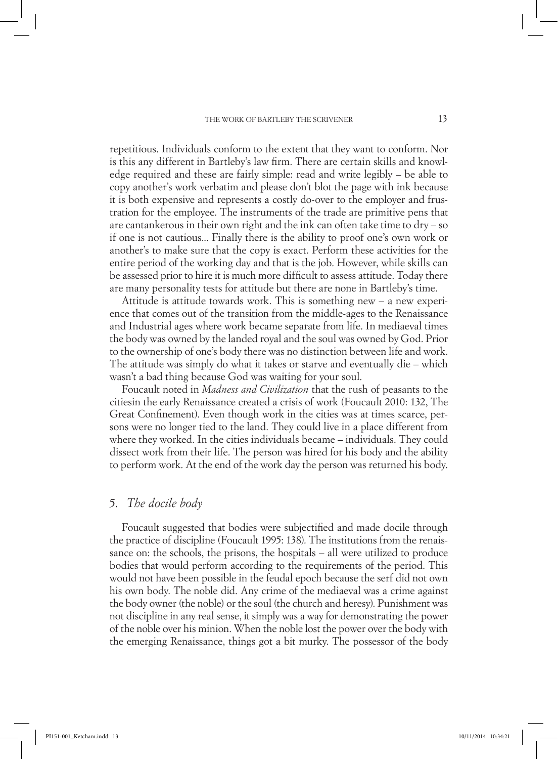repetitious. Individuals conform to the extent that they want to conform. Nor is this any different in Bartleby's law firm. There are certain skills and knowledge required and these are fairly simple: read and write legibly – be able to copy another's work verbatim and please don't blot the page with ink because it is both expensive and represents a costly do-over to the employer and frustration for the employee. The instruments of the trade are primitive pens that are cantankerous in their own right and the ink can often take time to dry – so if one is not cautious... Finally there is the ability to proof one's own work or another's to make sure that the copy is exact. Perform these activities for the entire period of the working day and that is the job. However, while skills can be assessed prior to hire it is much more difficult to assess attitude. Today there are many personality tests for attitude but there are none in Bartleby's time.

Attitude is attitude towards work. This is something new – a new experience that comes out of the transition from the middle-ages to the Renaissance and Industrial ages where work became separate from life. In mediaeval times the body was owned by the landed royal and the soul was owned by God. Prior to the ownership of one's body there was no distinction between life and work. The attitude was simply do what it takes or starve and eventually die – which wasn't a bad thing because God was waiting for your soul.

Foucault noted in *Madness and Civilization* that the rush of peasants to the citiesin the early Renaissance created a crisis of work (Foucault 2010: 132, The Great Confinement). Even though work in the cities was at times scarce, persons were no longer tied to the land. They could live in a place different from where they worked. In the cities individuals became – individuals. They could dissect work from their life. The person was hired for his body and the ability to perform work. At the end of the work day the person was returned his body.

## 5. *The docile body*

Foucault suggested that bodies were subjectified and made docile through the practice of discipline (Foucault 1995: 138). The institutions from the renaissance on: the schools, the prisons, the hospitals – all were utilized to produce bodies that would perform according to the requirements of the period. This would not have been possible in the feudal epoch because the serf did not own his own body. The noble did. Any crime of the mediaeval was a crime against the body owner (the noble) or the soul (the church and heresy). Punishment was not discipline in any real sense, it simply was a way for demonstrating the power of the noble over his minion. When the noble lost the power over the body with the emerging Renaissance, things got a bit murky. The possessor of the body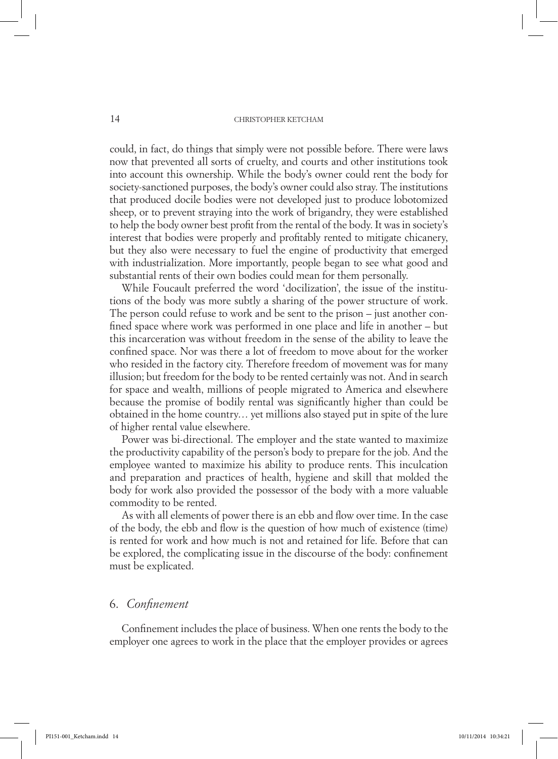could, in fact, do things that simply were not possible before. There were laws now that prevented all sorts of cruelty, and courts and other institutions took into account this ownership. While the body's owner could rent the body for society-sanctioned purposes, the body's owner could also stray. The institutions that produced docile bodies were not developed just to produce lobotomized sheep, or to prevent straying into the work of brigandry, they were established to help the body owner best profit from the rental of the body. It was in society's interest that bodies were properly and profitably rented to mitigate chicanery, but they also were necessary to fuel the engine of productivity that emerged with industrialization. More importantly, people began to see what good and substantial rents of their own bodies could mean for them personally.

While Foucault preferred the word 'docilization', the issue of the institutions of the body was more subtly a sharing of the power structure of work. The person could refuse to work and be sent to the prison – just another confined space where work was performed in one place and life in another – but this incarceration was without freedom in the sense of the ability to leave the confined space. Nor was there a lot of freedom to move about for the worker who resided in the factory city. Therefore freedom of movement was for many illusion; but freedom for the body to be rented certainly was not. And in search for space and wealth, millions of people migrated to America and elsewhere because the promise of bodily rental was significantly higher than could be obtained in the home country… yet millions also stayed put in spite of the lure of higher rental value elsewhere.

Power was bi-directional. The employer and the state wanted to maximize the productivity capability of the person's body to prepare for the job. And the employee wanted to maximize his ability to produce rents. This inculcation and preparation and practices of health, hygiene and skill that molded the body for work also provided the possessor of the body with a more valuable commodity to be rented.

As with all elements of power there is an ebb and flow over time. In the case of the body, the ebb and flow is the question of how much of existence (time) is rented for work and how much is not and retained for life. Before that can be explored, the complicating issue in the discourse of the body: confinement must be explicated.

# 6. *Confinement*

Confinement includes the place of business. When one rents the body to the employer one agrees to work in the place that the employer provides or agrees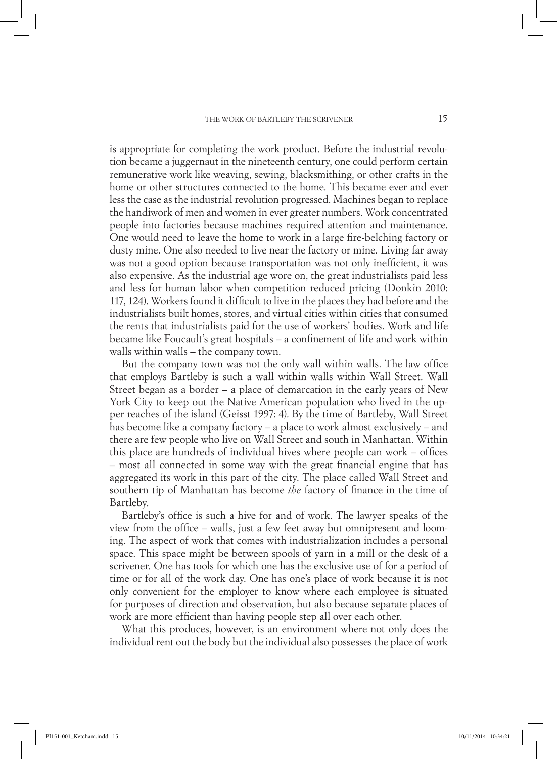is appropriate for completing the work product. Before the industrial revolution became a juggernaut in the nineteenth century, one could perform certain remunerative work like weaving, sewing, blacksmithing, or other crafts in the home or other structures connected to the home. This became ever and ever less the case as the industrial revolution progressed. Machines began to replace the handiwork of men and women in ever greater numbers. Work concentrated people into factories because machines required attention and maintenance. One would need to leave the home to work in a large fire-belching factory or dusty mine. One also needed to live near the factory or mine. Living far away was not a good option because transportation was not only inefficient, it was also expensive. As the industrial age wore on, the great industrialists paid less and less for human labor when competition reduced pricing (Donkin 2010: 117, 124). Workers found it difficult to live in the places they had before and the industrialists built homes, stores, and virtual cities within cities that consumed the rents that industrialists paid for the use of workers' bodies. Work and life became like Foucault's great hospitals – a confinement of life and work within walls within walls – the company town.

But the company town was not the only wall within walls. The law office that employs Bartleby is such a wall within walls within Wall Street. Wall Street began as a border – a place of demarcation in the early years of New York City to keep out the Native American population who lived in the upper reaches of the island (Geisst 1997: 4). By the time of Bartleby, Wall Street has become like a company factory – a place to work almost exclusively – and there are few people who live on Wall Street and south in Manhattan. Within this place are hundreds of individual hives where people can work – offices – most all connected in some way with the great financial engine that has aggregated its work in this part of the city. The place called Wall Street and southern tip of Manhattan has become *the* factory of finance in the time of Bartleby.

Bartleby's office is such a hive for and of work. The lawyer speaks of the view from the office – walls, just a few feet away but omnipresent and looming. The aspect of work that comes with industrialization includes a personal space. This space might be between spools of yarn in a mill or the desk of a scrivener. One has tools for which one has the exclusive use of for a period of time or for all of the work day. One has one's place of work because it is not only convenient for the employer to know where each employee is situated for purposes of direction and observation, but also because separate places of work are more efficient than having people step all over each other.

What this produces, however, is an environment where not only does the individual rent out the body but the individual also possesses the place of work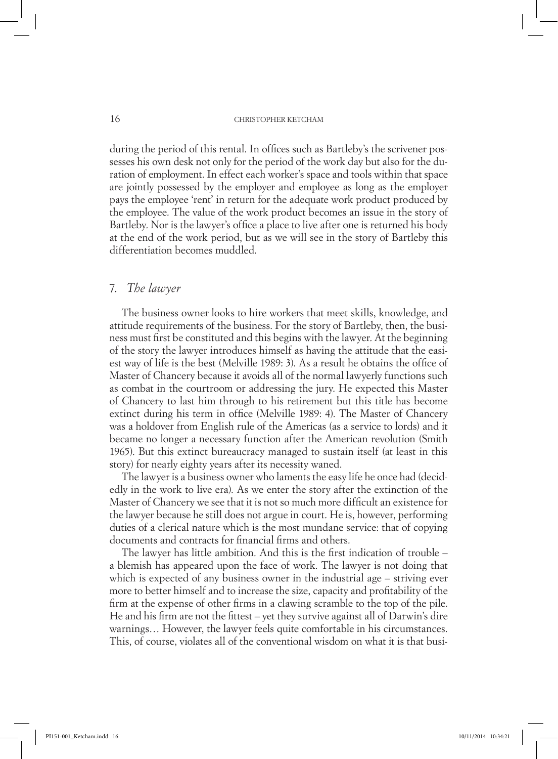during the period of this rental. In offices such as Bartleby's the scrivener possesses his own desk not only for the period of the work day but also for the duration of employment. In effect each worker's space and tools within that space are jointly possessed by the employer and employee as long as the employer pays the employee 'rent' in return for the adequate work product produced by the employee. The value of the work product becomes an issue in the story of Bartleby. Nor is the lawyer's office a place to live after one is returned his body at the end of the work period, but as we will see in the story of Bartleby this differentiation becomes muddled.

# 7. *The lawyer*

The business owner looks to hire workers that meet skills, knowledge, and attitude requirements of the business. For the story of Bartleby, then, the business must first be constituted and this begins with the lawyer. At the beginning of the story the lawyer introduces himself as having the attitude that the easiest way of life is the best (Melville 1989: 3). As a result he obtains the office of Master of Chancery because it avoids all of the normal lawyerly functions such as combat in the courtroom or addressing the jury. He expected this Master of Chancery to last him through to his retirement but this title has become extinct during his term in office (Melville 1989: 4). The Master of Chancery was a holdover from English rule of the Americas (as a service to lords) and it became no longer a necessary function after the American revolution (Smith 1965). But this extinct bureaucracy managed to sustain itself (at least in this story) for nearly eighty years after its necessity waned.

The lawyer is a business owner who laments the easy life he once had (decidedly in the work to live era). As we enter the story after the extinction of the Master of Chancery we see that it is not so much more difficult an existence for the lawyer because he still does not argue in court. He is, however, performing duties of a clerical nature which is the most mundane service: that of copying documents and contracts for financial firms and others.

The lawyer has little ambition. And this is the first indication of trouble – a blemish has appeared upon the face of work. The lawyer is not doing that which is expected of any business owner in the industrial age – striving ever more to better himself and to increase the size, capacity and profitability of the firm at the expense of other firms in a clawing scramble to the top of the pile. He and his firm are not the fittest – yet they survive against all of Darwin's dire warnings… However, the lawyer feels quite comfortable in his circumstances. This, of course, violates all of the conventional wisdom on what it is that busi-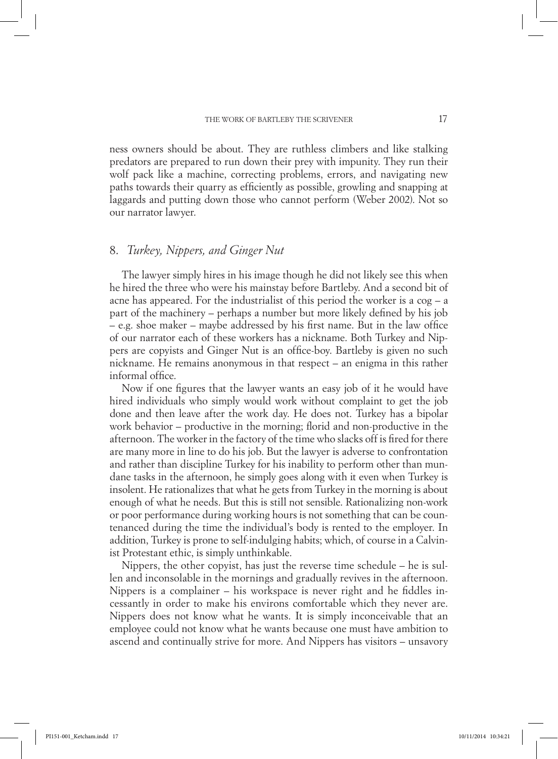ness owners should be about. They are ruthless climbers and like stalking predators are prepared to run down their prey with impunity. They run their wolf pack like a machine, correcting problems, errors, and navigating new paths towards their quarry as efficiently as possible, growling and snapping at laggards and putting down those who cannot perform (Weber 2002). Not so our narrator lawyer.

# 8. *Turkey, Nippers, and Ginger Nut*

The lawyer simply hires in his image though he did not likely see this when he hired the three who were his mainstay before Bartleby. And a second bit of acne has appeared. For the industrialist of this period the worker is a cog – a part of the machinery – perhaps a number but more likely defined by his job – e.g. shoe maker – maybe addressed by his first name. But in the law office of our narrator each of these workers has a nickname. Both Turkey and Nippers are copyists and Ginger Nut is an office-boy. Bartleby is given no such nickname. He remains anonymous in that respect – an enigma in this rather informal office.

Now if one figures that the lawyer wants an easy job of it he would have hired individuals who simply would work without complaint to get the job done and then leave after the work day. He does not. Turkey has a bipolar work behavior – productive in the morning; florid and non-productive in the afternoon. The worker in the factory of the time who slacks off is fired for there are many more in line to do his job. But the lawyer is adverse to confrontation and rather than discipline Turkey for his inability to perform other than mundane tasks in the afternoon, he simply goes along with it even when Turkey is insolent. He rationalizes that what he gets from Turkey in the morning is about enough of what he needs. But this is still not sensible. Rationalizing non-work or poor performance during working hours is not something that can be countenanced during the time the individual's body is rented to the employer. In addition, Turkey is prone to self-indulging habits; which, of course in a Calvinist Protestant ethic, is simply unthinkable.

Nippers, the other copyist, has just the reverse time schedule – he is sullen and inconsolable in the mornings and gradually revives in the afternoon. Nippers is a complainer – his workspace is never right and he fiddles incessantly in order to make his environs comfortable which they never are. Nippers does not know what he wants. It is simply inconceivable that an employee could not know what he wants because one must have ambition to ascend and continually strive for more. And Nippers has visitors – unsavory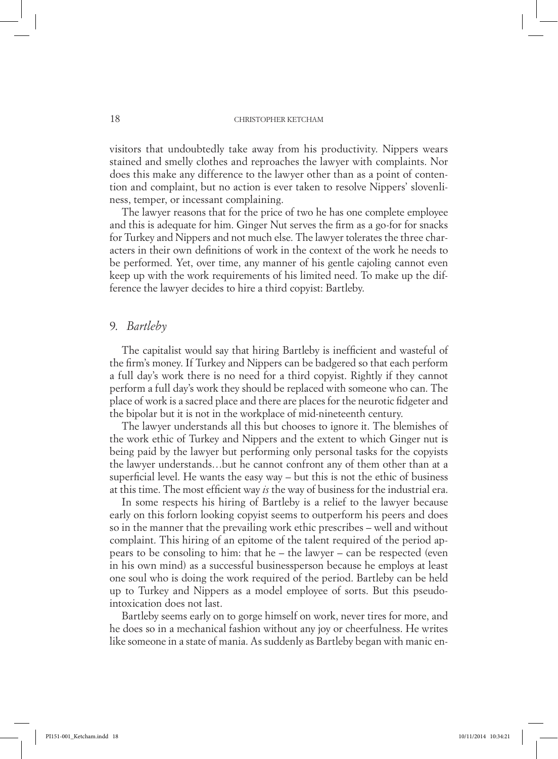visitors that undoubtedly take away from his productivity. Nippers wears stained and smelly clothes and reproaches the lawyer with complaints. Nor does this make any difference to the lawyer other than as a point of contention and complaint, but no action is ever taken to resolve Nippers' slovenliness, temper, or incessant complaining.

The lawyer reasons that for the price of two he has one complete employee and this is adequate for him. Ginger Nut serves the firm as a go-for for snacks for Turkey and Nippers and not much else. The lawyer tolerates the three characters in their own definitions of work in the context of the work he needs to be performed. Yet, over time, any manner of his gentle cajoling cannot even keep up with the work requirements of his limited need. To make up the difference the lawyer decides to hire a third copyist: Bartleby.

## 9. *Bartleby*

The capitalist would say that hiring Bartleby is inefficient and wasteful of the firm's money. If Turkey and Nippers can be badgered so that each perform a full day's work there is no need for a third copyist. Rightly if they cannot perform a full day's work they should be replaced with someone who can. The place of work is a sacred place and there are places for the neurotic fidgeter and the bipolar but it is not in the workplace of mid-nineteenth century.

The lawyer understands all this but chooses to ignore it. The blemishes of the work ethic of Turkey and Nippers and the extent to which Ginger nut is being paid by the lawyer but performing only personal tasks for the copyists the lawyer understands…but he cannot confront any of them other than at a superficial level. He wants the easy way – but this is not the ethic of business at this time. The most efficient way *is* the way of business for the industrial era.

In some respects his hiring of Bartleby is a relief to the lawyer because early on this forlorn looking copyist seems to outperform his peers and does so in the manner that the prevailing work ethic prescribes – well and without complaint. This hiring of an epitome of the talent required of the period appears to be consoling to him: that he – the lawyer – can be respected (even in his own mind) as a successful businessperson because he employs at least one soul who is doing the work required of the period. Bartleby can be held up to Turkey and Nippers as a model employee of sorts. But this pseudointoxication does not last.

Bartleby seems early on to gorge himself on work, never tires for more, and he does so in a mechanical fashion without any joy or cheerfulness. He writes like someone in a state of mania. As suddenly as Bartleby began with manic en-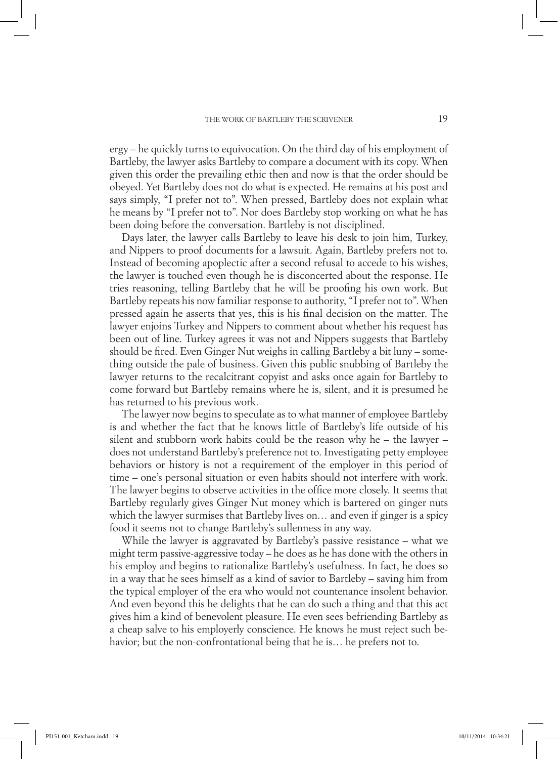ergy – he quickly turns to equivocation. On the third day of his employment of Bartleby, the lawyer asks Bartleby to compare a document with its copy. When given this order the prevailing ethic then and now is that the order should be obeyed. Yet Bartleby does not do what is expected. He remains at his post and says simply, "I prefer not to". When pressed, Bartleby does not explain what he means by "I prefer not to". Nor does Bartleby stop working on what he has been doing before the conversation. Bartleby is not disciplined.

Days later, the lawyer calls Bartleby to leave his desk to join him, Turkey, and Nippers to proof documents for a lawsuit. Again, Bartleby prefers not to. Instead of becoming apoplectic after a second refusal to accede to his wishes, the lawyer is touched even though he is disconcerted about the response. He tries reasoning, telling Bartleby that he will be proofing his own work. But Bartleby repeats his now familiar response to authority, "I prefer not to". When pressed again he asserts that yes, this is his final decision on the matter. The lawyer enjoins Turkey and Nippers to comment about whether his request has been out of line. Turkey agrees it was not and Nippers suggests that Bartleby should be fired. Even Ginger Nut weighs in calling Bartleby a bit luny – something outside the pale of business. Given this public snubbing of Bartleby the lawyer returns to the recalcitrant copyist and asks once again for Bartleby to come forward but Bartleby remains where he is, silent, and it is presumed he has returned to his previous work.

The lawyer now begins to speculate as to what manner of employee Bartleby is and whether the fact that he knows little of Bartleby's life outside of his silent and stubborn work habits could be the reason why he – the lawyer – does not understand Bartleby's preference not to. Investigating petty employee behaviors or history is not a requirement of the employer in this period of time – one's personal situation or even habits should not interfere with work. The lawyer begins to observe activities in the office more closely. It seems that Bartleby regularly gives Ginger Nut money which is bartered on ginger nuts which the lawyer surmises that Bartleby lives on… and even if ginger is a spicy food it seems not to change Bartleby's sullenness in any way.

While the lawyer is aggravated by Bartleby's passive resistance – what we might term passive-aggressive today – he does as he has done with the others in his employ and begins to rationalize Bartleby's usefulness. In fact, he does so in a way that he sees himself as a kind of savior to Bartleby – saving him from the typical employer of the era who would not countenance insolent behavior. And even beyond this he delights that he can do such a thing and that this act gives him a kind of benevolent pleasure. He even sees befriending Bartleby as a cheap salve to his employerly conscience. He knows he must reject such behavior; but the non-confrontational being that he is… he prefers not to.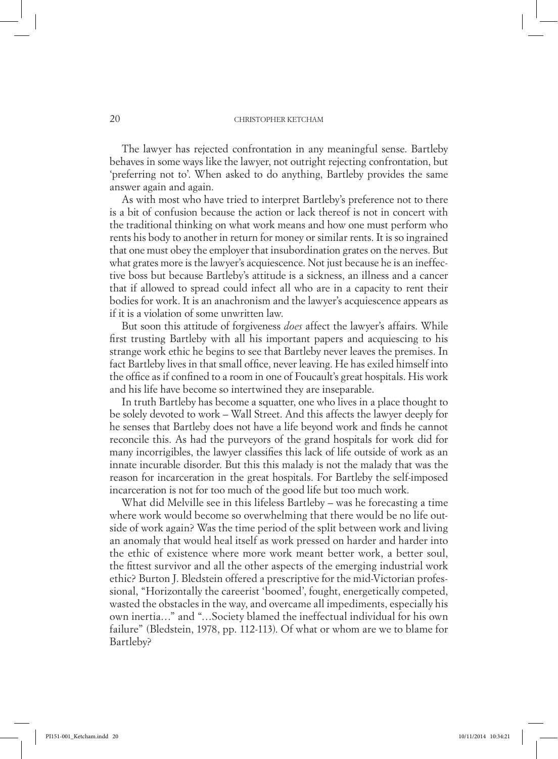The lawyer has rejected confrontation in any meaningful sense. Bartleby behaves in some ways like the lawyer, not outright rejecting confrontation, but 'preferring not to'. When asked to do anything, Bartleby provides the same answer again and again.

As with most who have tried to interpret Bartleby's preference not to there is a bit of confusion because the action or lack thereof is not in concert with the traditional thinking on what work means and how one must perform who rents his body to another in return for money or similar rents. It is so ingrained that one must obey the employer that insubordination grates on the nerves. But what grates more is the lawyer's acquiescence. Not just because he is an ineffective boss but because Bartleby's attitude is a sickness, an illness and a cancer that if allowed to spread could infect all who are in a capacity to rent their bodies for work. It is an anachronism and the lawyer's acquiescence appears as if it is a violation of some unwritten law.

But soon this attitude of forgiveness *does* affect the lawyer's affairs. While first trusting Bartleby with all his important papers and acquiescing to his strange work ethic he begins to see that Bartleby never leaves the premises. In fact Bartleby lives in that small office, never leaving. He has exiled himself into the office as if confined to a room in one of Foucault's great hospitals. His work and his life have become so intertwined they are inseparable.

In truth Bartleby has become a squatter, one who lives in a place thought to be solely devoted to work – Wall Street. And this affects the lawyer deeply for he senses that Bartleby does not have a life beyond work and finds he cannot reconcile this. As had the purveyors of the grand hospitals for work did for many incorrigibles, the lawyer classifies this lack of life outside of work as an innate incurable disorder. But this this malady is not the malady that was the reason for incarceration in the great hospitals. For Bartleby the self-imposed incarceration is not for too much of the good life but too much work.

What did Melville see in this lifeless Bartleby – was he forecasting a time where work would become so overwhelming that there would be no life outside of work again? Was the time period of the split between work and living an anomaly that would heal itself as work pressed on harder and harder into the ethic of existence where more work meant better work, a better soul, the fittest survivor and all the other aspects of the emerging industrial work ethic? Burton J. Bledstein offered a prescriptive for the mid-Victorian professional, "Horizontally the careerist 'boomed', fought, energetically competed, wasted the obstacles in the way, and overcame all impediments, especially his own inertia…" and "…Society blamed the ineffectual individual for his own failure" (Bledstein, 1978, pp. 112-113). Of what or whom are we to blame for Bartleby?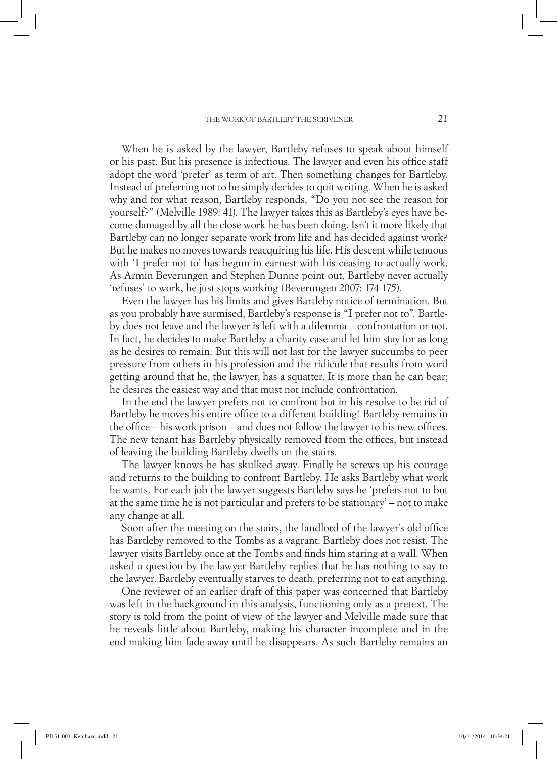#### THE WORK OF BARTLEBY THE SCRIVENER 21

When he is asked by the lawyer, Bartleby refuses to speak about himself or his past. But his presence is infectious. The lawyer and even his office staff adopt the word 'prefer' as term of art. Then something changes for Bartleby. Instead of preferring not to he simply decides to quit writing. When he is asked why and for what reason, Bartleby responds, "Do you not see the reason for yourself?" (Melville 1989: 41). The lawyer takes this as Bartleby's eyes have become damaged by all the close work he has been doing. Isn't it more likely that Bartleby can no longer separate work from life and has decided against work? But he makes no moves towards reacquiring his life. His descent while tenuous with 'I prefer not to' has begun in earnest with his ceasing to actually work. As Armin Beverungen and Stephen Dunne point out, Bartleby never actually 'refuses' to work, he just stops working (Beverungen 2007: 174-175).

Even the lawyer has his limits and gives Bartleby notice of termination. But as you probably have surmised, Bartleby's response is "I prefer not to". Bartleby does not leave and the lawyer is left with a dilemma – confrontation or not. In fact, he decides to make Bartleby a charity case and let him stay for as long as he desires to remain. But this will not last for the lawyer succumbs to peer pressure from others in his profession and the ridicule that results from word getting around that he, the lawyer, has a squatter. It is more than he can bear; he desires the easiest way and that must not include confrontation.

In the end the lawyer prefers not to confront but in his resolve to be rid of Bartleby he moves his entire office to a different building! Bartleby remains in the office – his work prison – and does not follow the lawyer to his new offices. The new tenant has Bartleby physically removed from the offices, but instead of leaving the building Bartleby dwells on the stairs.

The lawyer knows he has skulked away. Finally he screws up his courage and returns to the building to confront Bartleby. He asks Bartleby what work he wants. For each job the lawyer suggests Bartleby says he 'prefers not to but at the same time he is not particular and prefers to be stationary' – not to make any change at all.

Soon after the meeting on the stairs, the landlord of the lawyer's old office has Bartleby removed to the Tombs as a vagrant. Bartleby does not resist. The lawyer visits Bartleby once at the Tombs and finds him staring at a wall. When asked a question by the lawyer Bartleby replies that he has nothing to say to the lawyer. Bartleby eventually starves to death, preferring not to eat anything.

One reviewer of an earlier draft of this paper was concerned that Bartleby was left in the background in this analysis, functioning only as a pretext. The story is told from the point of view of the lawyer and Melville made sure that he reveals little about Bartleby, making his character incomplete and in the end making him fade away until he disappears. As such Bartleby remains an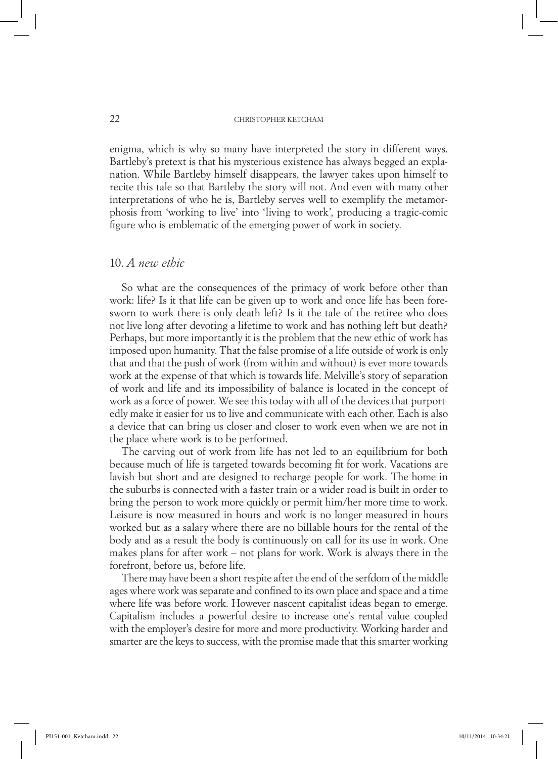enigma, which is why so many have interpreted the story in different ways. Bartleby's pretext is that his mysterious existence has always begged an explanation. While Bartleby himself disappears, the lawyer takes upon himself to recite this tale so that Bartleby the story will not. And even with many other interpretations of who he is, Bartleby serves well to exemplify the metamorphosis from 'working to live' into 'living to work', producing a tragic-comic figure who is emblematic of the emerging power of work in society.

# 10. *A new ethic*

So what are the consequences of the primacy of work before other than work: life? Is it that life can be given up to work and once life has been foresworn to work there is only death left? Is it the tale of the retiree who does not live long after devoting a lifetime to work and has nothing left but death? Perhaps, but more importantly it is the problem that the new ethic of work has imposed upon humanity. That the false promise of a life outside of work is only that and that the push of work (from within and without) is ever more towards work at the expense of that which is towards life. Melville's story of separation of work and life and its impossibility of balance is located in the concept of work as a force of power. We see this today with all of the devices that purportedly make it easier for us to live and communicate with each other. Each is also a device that can bring us closer and closer to work even when we are not in the place where work is to be performed.

The carving out of work from life has not led to an equilibrium for both because much of life is targeted towards becoming fit for work. Vacations are lavish but short and are designed to recharge people for work. The home in the suburbs is connected with a faster train or a wider road is built in order to bring the person to work more quickly or permit him/her more time to work. Leisure is now measured in hours and work is no longer measured in hours worked but as a salary where there are no billable hours for the rental of the body and as a result the body is continuously on call for its use in work. One makes plans for after work – not plans for work. Work is always there in the forefront, before us, before life.

There may have been a short respite after the end of the serfdom of the middle ages where work was separate and confined to its own place and space and a time where life was before work. However nascent capitalist ideas began to emerge. Capitalism includes a powerful desire to increase one's rental value coupled with the employer's desire for more and more productivity. Working harder and smarter are the keys to success, with the promise made that this smarter working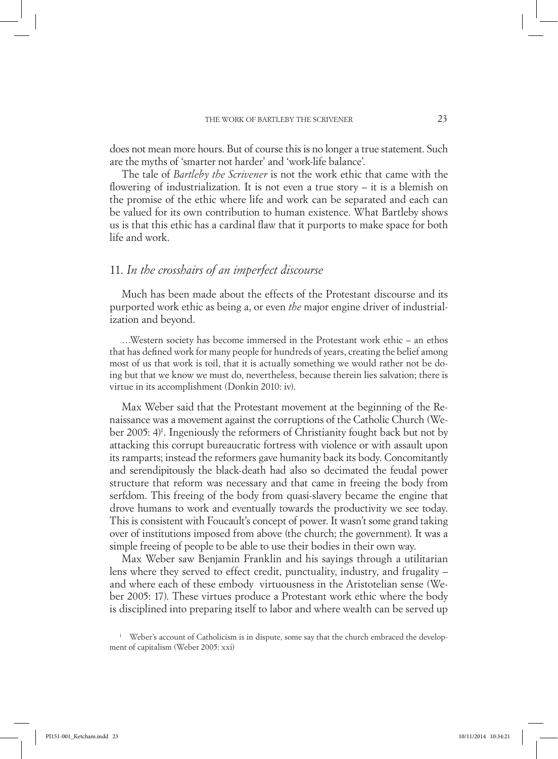does not mean more hours. But of course this is no longer a true statement. Such are the myths of 'smarter not harder' and 'work-life balance'.

The tale of *Bartleby the Scrivener* is not the work ethic that came with the flowering of industrialization. It is not even a true story – it is a blemish on the promise of the ethic where life and work can be separated and each can be valued for its own contribution to human existence. What Bartleby shows us is that this ethic has a cardinal flaw that it purports to make space for both life and work.

# 11. *In the crosshairs of an imperfect discourse*

Much has been made about the effects of the Protestant discourse and its purported work ethic as being a, or even *the* major engine driver of industrialization and beyond.

…Western society has become immersed in the Protestant work ethic – an ethos that has defined work for many people for hundreds of years, creating the belief among most of us that work is toil, that it is actually something we would rather not be doing but that we know we must do, nevertheless, because therein lies salvation; there is virtue in its accomplishment (Donkin 2010: iv).

Max Weber said that the Protestant movement at the beginning of the Renaissance was a movement against the corruptions of the Catholic Church (Weber 2005: 4<sup>)</sup>. Ingeniously the reformers of Christianity fought back but not by attacking this corrupt bureaucratic fortress with violence or with assault upon its ramparts; instead the reformers gave humanity back its body. Concomitantly and serendipitously the black-death had also so decimated the feudal power structure that reform was necessary and that came in freeing the body from serfdom. This freeing of the body from quasi-slavery became the engine that drove humans to work and eventually towards the productivity we see today. This is consistent with Foucault's concept of power. It wasn't some grand taking over of institutions imposed from above (the church; the government). It was a simple freeing of people to be able to use their bodies in their own way.

Max Weber saw Benjamin Franklin and his sayings through a utilitarian lens where they served to effect credit, punctuality, industry, and frugality – and where each of these embody virtuousness in the Aristotelian sense (Weber 2005: 17). These virtues produce a Protestant work ethic where the body is disciplined into preparing itself to labor and where wealth can be served up

<sup>1</sup> Weber's account of Catholicism is in dispute, some say that the church embraced the development of capitalism (Weber 2005: xxi)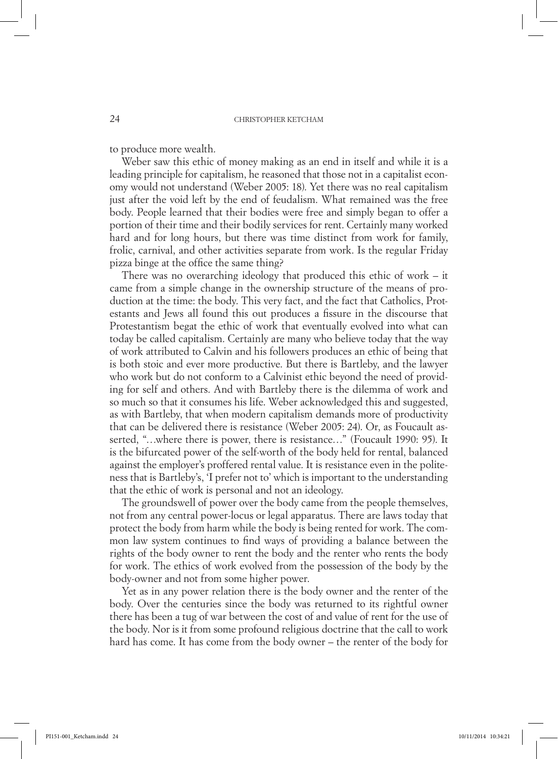to produce more wealth.

Weber saw this ethic of money making as an end in itself and while it is a leading principle for capitalism, he reasoned that those not in a capitalist economy would not understand (Weber 2005: 18). Yet there was no real capitalism just after the void left by the end of feudalism. What remained was the free body. People learned that their bodies were free and simply began to offer a portion of their time and their bodily services for rent. Certainly many worked hard and for long hours, but there was time distinct from work for family, frolic, carnival, and other activities separate from work. Is the regular Friday pizza binge at the office the same thing?

There was no overarching ideology that produced this ethic of work – it came from a simple change in the ownership structure of the means of production at the time: the body. This very fact, and the fact that Catholics, Protestants and Jews all found this out produces a fissure in the discourse that Protestantism begat the ethic of work that eventually evolved into what can today be called capitalism. Certainly are many who believe today that the way of work attributed to Calvin and his followers produces an ethic of being that is both stoic and ever more productive. But there is Bartleby, and the lawyer who work but do not conform to a Calvinist ethic beyond the need of providing for self and others. And with Bartleby there is the dilemma of work and so much so that it consumes his life. Weber acknowledged this and suggested, as with Bartleby, that when modern capitalism demands more of productivity that can be delivered there is resistance (Weber 2005: 24). Or, as Foucault asserted, "...where there is power, there is resistance..." (Foucault 1990: 95). It is the bifurcated power of the self-worth of the body held for rental, balanced against the employer's proffered rental value. It is resistance even in the politeness that is Bartleby's, 'I prefer not to' which is important to the understanding that the ethic of work is personal and not an ideology.

The groundswell of power over the body came from the people themselves, not from any central power-locus or legal apparatus. There are laws today that protect the body from harm while the body is being rented for work. The common law system continues to find ways of providing a balance between the rights of the body owner to rent the body and the renter who rents the body for work. The ethics of work evolved from the possession of the body by the body-owner and not from some higher power.

Yet as in any power relation there is the body owner and the renter of the body. Over the centuries since the body was returned to its rightful owner there has been a tug of war between the cost of and value of rent for the use of the body. Nor is it from some profound religious doctrine that the call to work hard has come. It has come from the body owner – the renter of the body for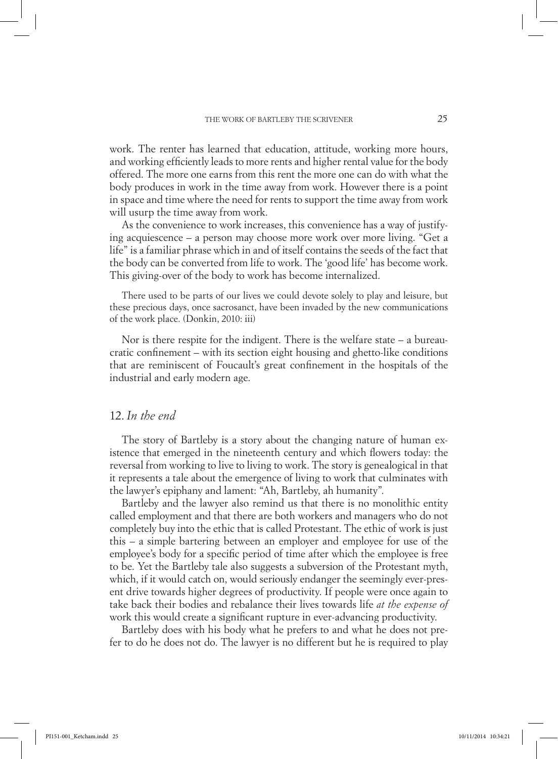work. The renter has learned that education, attitude, working more hours, and working efficiently leads to more rents and higher rental value for the body offered. The more one earns from this rent the more one can do with what the body produces in work in the time away from work. However there is a point in space and time where the need for rents to support the time away from work will usurp the time away from work.

As the convenience to work increases, this convenience has a way of justifying acquiescence – a person may choose more work over more living. "Get a life" is a familiar phrase which in and of itself contains the seeds of the fact that the body can be converted from life to work. The 'good life' has become work. This giving-over of the body to work has become internalized.

There used to be parts of our lives we could devote solely to play and leisure, but these precious days, once sacrosanct, have been invaded by the new communications of the work place. (Donkin, 2010: iii)

Nor is there respite for the indigent. There is the welfare state – a bureaucratic confinement – with its section eight housing and ghetto-like conditions that are reminiscent of Foucault's great confinement in the hospitals of the industrial and early modern age.

# 12. *In the end*

The story of Bartleby is a story about the changing nature of human existence that emerged in the nineteenth century and which flowers today: the reversal from working to live to living to work. The story is genealogical in that it represents a tale about the emergence of living to work that culminates with the lawyer's epiphany and lament: "Ah, Bartleby, ah humanity".

Bartleby and the lawyer also remind us that there is no monolithic entity called employment and that there are both workers and managers who do not completely buy into the ethic that is called Protestant. The ethic of work is just this – a simple bartering between an employer and employee for use of the employee's body for a specific period of time after which the employee is free to be. Yet the Bartleby tale also suggests a subversion of the Protestant myth, which, if it would catch on, would seriously endanger the seemingly ever-present drive towards higher degrees of productivity. If people were once again to take back their bodies and rebalance their lives towards life *at the expense of* work this would create a significant rupture in ever-advancing productivity.

Bartleby does with his body what he prefers to and what he does not prefer to do he does not do. The lawyer is no different but he is required to play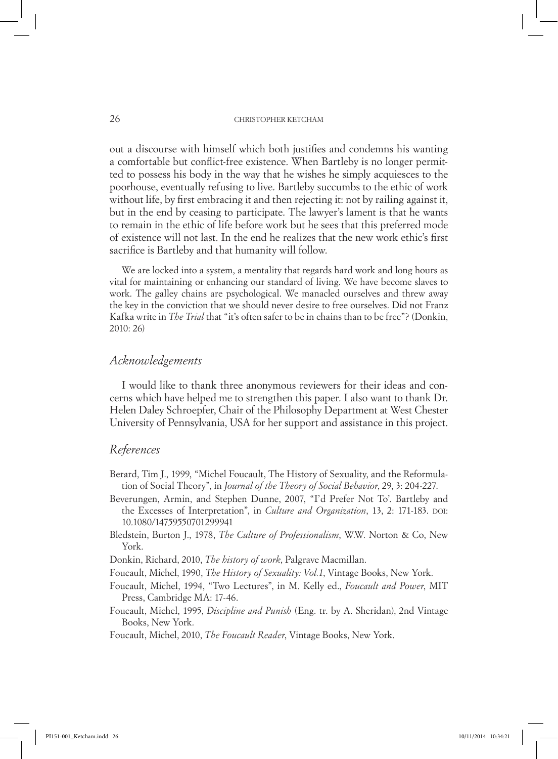out a discourse with himself which both justifies and condemns his wanting a comfortable but conflict-free existence. When Bartleby is no longer permitted to possess his body in the way that he wishes he simply acquiesces to the poorhouse, eventually refusing to live. Bartleby succumbs to the ethic of work without life, by first embracing it and then rejecting it: not by railing against it, but in the end by ceasing to participate. The lawyer's lament is that he wants to remain in the ethic of life before work but he sees that this preferred mode of existence will not last. In the end he realizes that the new work ethic's first sacrifice is Bartleby and that humanity will follow.

We are locked into a system, a mentality that regards hard work and long hours as vital for maintaining or enhancing our standard of living. We have become slaves to work. The galley chains are psychological. We manacled ourselves and threw away the key in the conviction that we should never desire to free ourselves. Did not Franz Kafka write in *The Trial* that "it's often safer to be in chains than to be free"? (Donkin, 2010: 26)

# *Acknowledgements*

I would like to thank three anonymous reviewers for their ideas and concerns which have helped me to strengthen this paper. I also want to thank Dr. Helen Daley Schroepfer, Chair of the Philosophy Department at West Chester University of Pennsylvania, USA for her support and assistance in this project.

## *References*

- Berard, Tim J., 1999, "Michel Foucault, The History of Sexuality, and the Reformulation of Social Theory", in *Journal of the Theory of Social Behavior*, 29, 3: 204-227.
- Beverungen, Armin, and Stephen Dunne, 2007, "I'd Prefer Not To'. Bartleby and the Excesses of Interpretation", in *Culture and Organization*, 13, 2: 171-183. DOI: 10.1080/14759550701299941
- Bledstein, Burton J., 1978, *The Culture of Professionalism*, W.W. Norton & Co, New York.
- Donkin, Richard, 2010, *The history of work*, Palgrave Macmillan.
- Foucault, Michel, 1990, *The History of Sexuality: Vol.1*, Vintage Books, New York.
- Foucault, Michel, 1994, "Two Lectures", in M. Kelly ed., *Foucault and Power*, MIT Press, Cambridge MA: 17-46.
- Foucault, Michel, 1995, *Discipline and Punish* (Eng. tr. by A. Sheridan), 2nd Vintage Books, New York.

Foucault, Michel, 2010, *The Foucault Reader*, Vintage Books, New York.